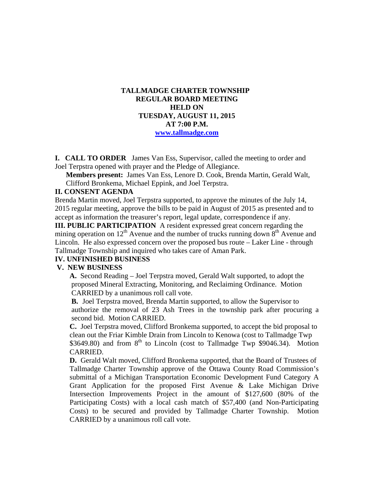# **TALLMADGE CHARTER TOWNSHIP REGULAR BOARD MEETING HELD ON TUESDAY, AUGUST 11, 2015 AT 7:00 P.M. www.tallmadge.com**

**I. CALL TO ORDER** James Van Ess, Supervisor, called the meeting to order and Joel Terpstra opened with prayer and the Pledge of Allegiance.

**Members present:** James Van Ess, Lenore D. Cook, Brenda Martin, Gerald Walt, Clifford Bronkema, Michael Eppink, and Joel Terpstra.

### **II. CONSENT AGENDA**

Brenda Martin moved, Joel Terpstra supported, to approve the minutes of the July 14, 2015 regular meeting, approve the bills to be paid in August of 2015 as presented and to accept as information the treasurer's report, legal update, correspondence if any.

**III. PUBLIC PARTICIPATION** A resident expressed great concern regarding the mining operation on  $12<sup>th</sup>$  Avenue and the number of trucks running down  $8<sup>th</sup>$  Avenue and Lincoln. He also expressed concern over the proposed bus route – Laker Line - through Tallmadge Township and inquired who takes care of Aman Park.

### **IV. UNFINISHED BUSINESS**

#### **V. NEW BUSINESS**

 **A.** Second Reading – Joel Terpstra moved, Gerald Walt supported, to adopt the proposed Mineral Extracting, Monitoring, and Reclaiming Ordinance. Motion CARRIED by a unanimous roll call vote.

**B.** Joel Terpstra moved, Brenda Martin supported, to allow the Supervisor to authorize the removal of 23 Ash Trees in the township park after procuring a second bid. Motion CARRIED.

**C.** Joel Terpstra moved, Clifford Bronkema supported, to accept the bid proposal to clean out the Friar Kimble Drain from Lincoln to Kenowa (cost to Tallmadge Twp \$3649.80) and from  $8<sup>th</sup>$  to Lincoln (cost to Tallmadge Twp \$9046.34). Motion CARRIED.

**D.** Gerald Walt moved, Clifford Bronkema supported, that the Board of Trustees of Tallmadge Charter Township approve of the Ottawa County Road Commission's submittal of a Michigan Transportation Economic Development Fund Category A Grant Application for the proposed First Avenue & Lake Michigan Drive Intersection Improvements Project in the amount of \$127,600 (80% of the Participating Costs) with a local cash match of \$57,400 (and Non-Participating Costs) to be secured and provided by Tallmadge Charter Township. Motion CARRIED by a unanimous roll call vote.